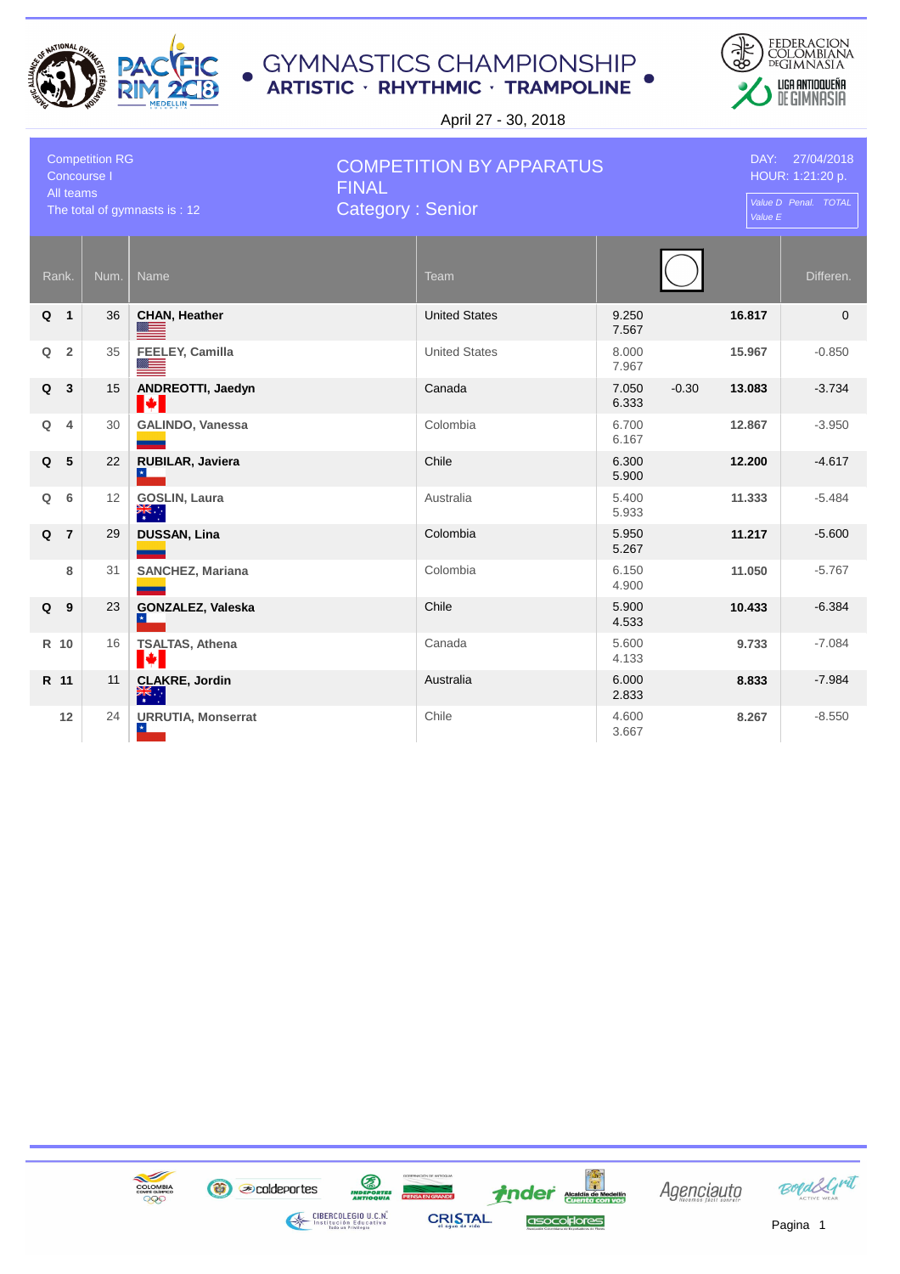



| <b>Competition RG</b><br>Concourse I<br>All teams<br>The total of gymnasts is: 12 |                |      |                                             | <b>COMPETITION BY APPARATUS</b><br><b>FINAL</b><br><b>Category: Senior</b> |                |         |        | DAY: 27/04/2018<br>HOUR: 1:21:20 p.<br>Value D Penal. TOTAL |  |
|-----------------------------------------------------------------------------------|----------------|------|---------------------------------------------|----------------------------------------------------------------------------|----------------|---------|--------|-------------------------------------------------------------|--|
|                                                                                   |                |      |                                             |                                                                            |                | Value E |        |                                                             |  |
|                                                                                   | Rank.          | Num. | Name                                        | Team                                                                       |                |         |        | Differen.                                                   |  |
| Q                                                                                 | $\overline{1}$ | 36   | <b>CHAN, Heather</b>                        | <b>United States</b>                                                       | 9.250<br>7.567 |         | 16.817 | $\mathbf{0}$                                                |  |
| Q                                                                                 | $\overline{2}$ | 35   | FEELEY, Camilla                             | <b>United States</b>                                                       | 8.000<br>7.967 |         | 15.967 | $-0.850$                                                    |  |
| Q                                                                                 | 3              | 15   | ANDREOTTI, Jaedyn<br>H                      | Canada                                                                     | 7.050<br>6.333 | $-0.30$ | 13.083 | $-3.734$                                                    |  |
| Q                                                                                 | $\overline{4}$ | 30   | <b>GALINDO, Vanessa</b>                     | Colombia                                                                   | 6.700<br>6.167 |         | 12.867 | $-3.950$                                                    |  |
| Q                                                                                 | 5              | 22   | RUBILAR, Javiera                            | Chile                                                                      | 6.300<br>5.900 |         | 12.200 | $-4.617$                                                    |  |
| Q                                                                                 | 6              | 12   | GOSLIN, Laura                               | Australia                                                                  | 5.400<br>5.933 |         | 11.333 | $-5.484$                                                    |  |
| Q                                                                                 | $\overline{7}$ | 29   | <b>DUSSAN, Lina</b>                         | Colombia                                                                   | 5.950<br>5.267 |         | 11.217 | $-5.600$                                                    |  |
|                                                                                   | 8              | 31   | <b>SANCHEZ, Mariana</b>                     | Colombia                                                                   | 6.150<br>4.900 |         | 11.050 | $-5.767$                                                    |  |
|                                                                                   | $Q$ $9$        | 23   | GONZALEZ, Valeska<br>$\star$                | Chile                                                                      | 5.900<br>4.533 |         | 10.433 | $-6.384$                                                    |  |
|                                                                                   | R 10           | 16   | <b>TSALTAS, Athena</b><br>H.                | Canada                                                                     | 5.600<br>4.133 |         | 9.733  | $-7.084$                                                    |  |
|                                                                                   | R 11           | 11   | <b>CLAKRE, Jordin</b><br>$\frac{2\pi}{\pi}$ | Australia                                                                  | 6.000<br>2.833 |         | 8.833  | $-7.984$                                                    |  |
|                                                                                   | 12             | 24   | <b>URRUTIA, Monserrat</b><br>$\star$        | Chile                                                                      | 4.600<br>3.667 |         | 8.267  | $-8.550$                                                    |  |

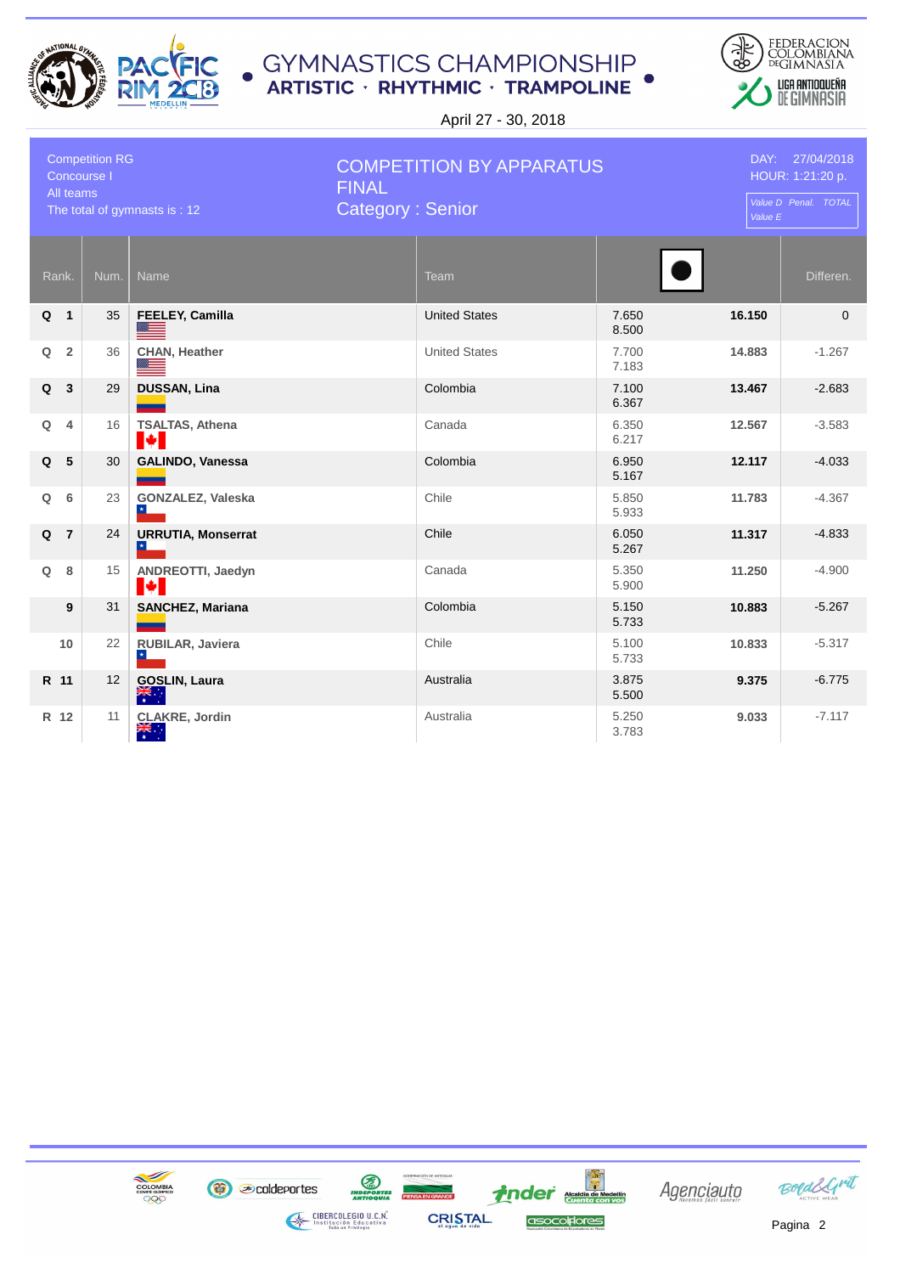



| <b>Competition RG</b><br>Concourse I<br>All teams<br>The total of gymnasts is: 12 |                  |                 |                                               | <b>COMPETITION BY APPARATUS</b><br><b>FINAL</b><br><b>Category: Senior</b> |                |        | DAY: 27/04/2018<br>HOUR: 1:21:20 p.<br>Value D Penal. TOTAL<br>Value E |  |
|-----------------------------------------------------------------------------------|------------------|-----------------|-----------------------------------------------|----------------------------------------------------------------------------|----------------|--------|------------------------------------------------------------------------|--|
|                                                                                   | Rank.            | Num.            | Name                                          | Team                                                                       |                |        | Differen.                                                              |  |
|                                                                                   | $Q = 1$          | 35              | FEELEY, Camilla                               | <b>United States</b>                                                       | 7.650<br>8.500 | 16.150 | $\mathbf{0}$                                                           |  |
| Q                                                                                 | $\overline{2}$   | 36              | <b>CHAN, Heather</b>                          | <b>United States</b>                                                       | 7.700<br>7.183 | 14.883 | $-1.267$                                                               |  |
| Q                                                                                 | $\mathbf{3}$     | 29              | <b>DUSSAN, Lina</b>                           | Colombia                                                                   | 7.100<br>6.367 | 13.467 | $-2.683$                                                               |  |
| Q                                                                                 | $\overline{4}$   | 16              | <b>TSALTAS, Athena</b><br>L.                  | Canada                                                                     | 6.350<br>6.217 | 12.567 | $-3.583$                                                               |  |
| Q                                                                                 | 5                | 30              | <b>GALINDO, Vanessa</b>                       | Colombia                                                                   | 6.950<br>5.167 | 12.117 | $-4.033$                                                               |  |
| Q                                                                                 | 6                | 23              | GONZALEZ, Valeska<br>$\star$                  | Chile                                                                      | 5.850<br>5.933 | 11.783 | $-4.367$                                                               |  |
| Q                                                                                 | $\overline{7}$   | 24              | <b>URRUTIA, Monserrat</b><br>$\star$          | Chile                                                                      | 6.050<br>5.267 | 11.317 | $-4.833$                                                               |  |
| Q                                                                                 | 8                | 15              | ANDREOTTI, Jaedyn<br>H                        | Canada                                                                     | 5.350<br>5.900 | 11.250 | $-4.900$                                                               |  |
|                                                                                   | $\boldsymbol{9}$ | 31              | <b>SANCHEZ, Mariana</b>                       | Colombia                                                                   | 5.150<br>5.733 | 10.883 | $-5.267$                                                               |  |
|                                                                                   | 10               | 22              | RUBILAR, Javiera<br>$\star$                   | Chile                                                                      | 5.100<br>5.733 | 10.833 | $-5.317$                                                               |  |
|                                                                                   | R 11             | 12 <sup>2</sup> | <b>GOSLIN, Laura</b><br>$\frac{2}{\pi}$       | Australia                                                                  | 3.875<br>5.500 | 9.375  | $-6.775$                                                               |  |
|                                                                                   | R 12             | 11              | <b>CLAKRE, Jordin</b><br>$\frac{1}{\sqrt{K}}$ | Australia                                                                  | 5.250<br>3.783 | 9.033  | $-7.117$                                                               |  |

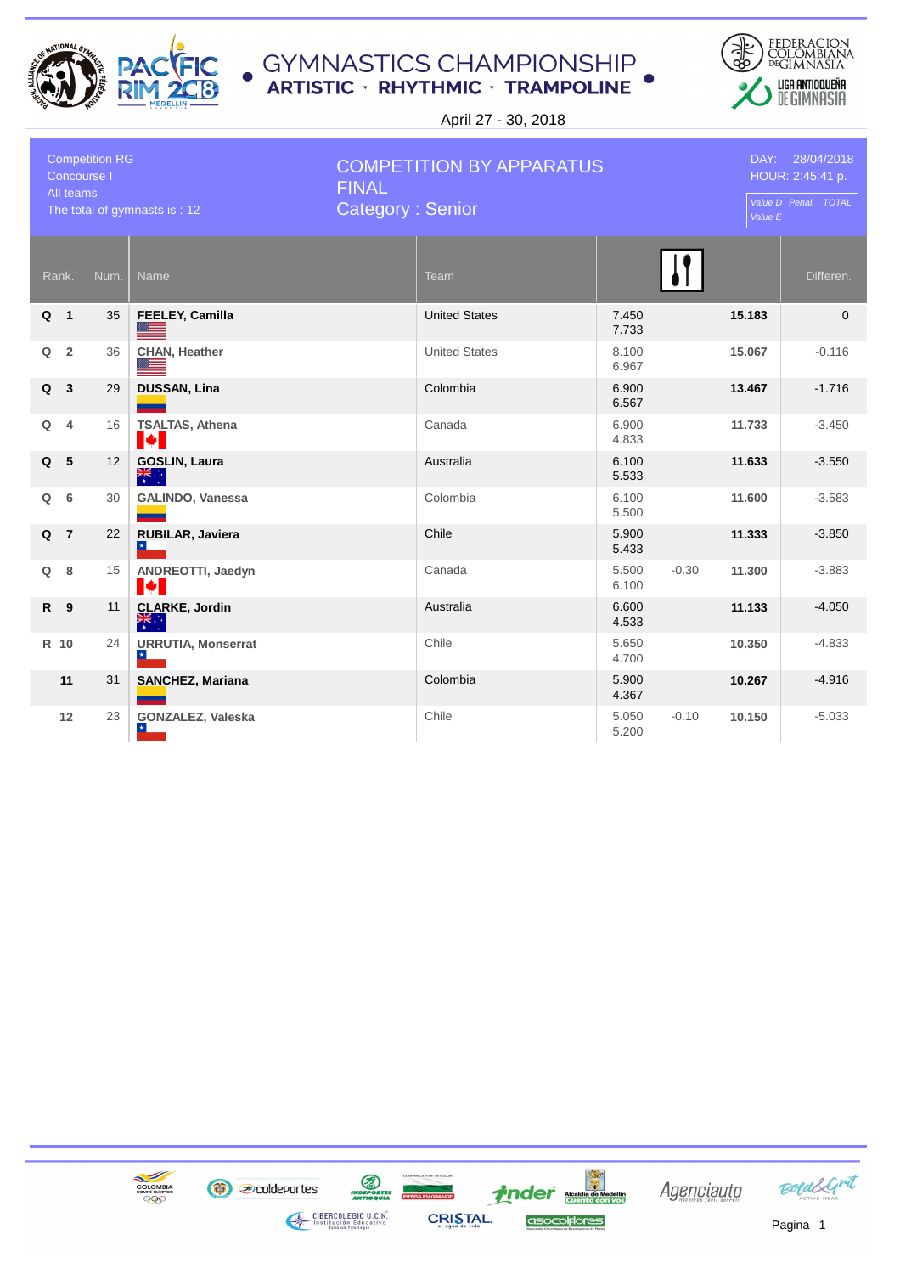



| <b>Competition RG</b><br>Concourse I<br>All teams<br>The total of gymnasts is: 12 |                |                 |                                            | <b>COMPETITION BY APPARATUS</b><br><b>FINAL</b><br><b>Category: Senior</b> |                      |                |         | DAY: 28/04/2018<br>HOUR: 2:45:41 p.<br>Value D Penal. TOTAL<br>Value E |           |
|-----------------------------------------------------------------------------------|----------------|-----------------|--------------------------------------------|----------------------------------------------------------------------------|----------------------|----------------|---------|------------------------------------------------------------------------|-----------|
|                                                                                   | Rank.          | Num.            | Name                                       |                                                                            | Team                 |                |         |                                                                        | Differen. |
|                                                                                   | $Q$ 1          | 35              | FEELEY, Camilla                            |                                                                            | <b>United States</b> | 7.450<br>7.733 |         | 15.183                                                                 | $\Omega$  |
| Q                                                                                 | $\overline{2}$ | 36              | <b>CHAN, Heather</b>                       |                                                                            | <b>United States</b> | 8.100<br>6.967 |         | 15.067                                                                 | $-0.116$  |
| Q                                                                                 | $\mathbf{3}$   | 29              | <b>DUSSAN, Lina</b>                        |                                                                            | Colombia             | 6.900<br>6.567 |         | 13.467                                                                 | $-1.716$  |
| Q                                                                                 | $\overline{4}$ | 16              | <b>TSALTAS, Athena</b><br>I Ger            |                                                                            | Canada               | 6.900<br>4.833 |         | 11.733                                                                 | $-3.450$  |
| Q                                                                                 | 5              | 12 <sup>2</sup> | <b>GOSLIN, Laura</b><br>$\frac{2\pi}{\pi}$ |                                                                            | Australia            | 6.100<br>5.533 |         | 11.633                                                                 | $-3.550$  |
| Q                                                                                 | 6              | 30              | <b>GALINDO, Vanessa</b>                    |                                                                            | Colombia             | 6.100<br>5.500 |         | 11.600                                                                 | $-3.583$  |
| Q                                                                                 | $\overline{7}$ | 22              | RUBILAR, Javiera<br>$\star$                |                                                                            | Chile                | 5.900<br>5.433 |         | 11.333                                                                 | $-3.850$  |
| Q                                                                                 | 8              | 15              | ANDREOTTI, Jaedyn<br>H                     |                                                                            | Canada               | 5.500<br>6.100 | $-0.30$ | 11.300                                                                 | $-3.883$  |
|                                                                                   | R 9            | 11              | <b>CLARKE, Jordin</b><br>्हें              |                                                                            | Australia            | 6.600<br>4.533 |         | 11.133                                                                 | $-4.050$  |
|                                                                                   | R 10           | 24              | <b>URRUTIA, Monserrat</b><br>$\star$       |                                                                            | Chile                | 5.650<br>4.700 |         | 10.350                                                                 | $-4.833$  |
|                                                                                   | 11             | 31              | <b>SANCHEZ, Mariana</b>                    |                                                                            | Colombia             | 5.900<br>4.367 |         | 10.267                                                                 | $-4.916$  |
|                                                                                   | 12             | 23              | GONZALEZ, Valeska<br>$\star$               |                                                                            | Chile                | 5.050<br>5.200 | $-0.10$ | 10.150                                                                 | $-5.033$  |